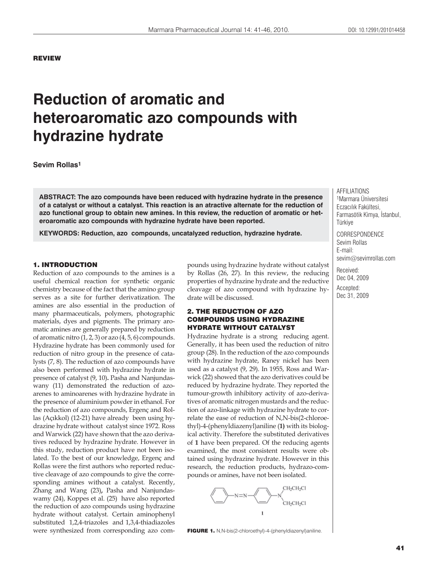#### REVIEW

# **Reduction of aromatic and heteroaromatic azo compounds with hydrazine hydrate**

# **Sevim Rollas1**

**ABSTRACT: The azo compounds have been reduced with hydrazine hydrate in the presence of a catalyst or without a catalyst. This reaction is an atractive alternate for the reduction of azo functional group to obtain new amines. In this review, the reduction of aromatic or heteroaromatic azo compounds with hydrazine hydrate have been reported.**

**KEYWORDS: Reduction, azo compounds, uncatalyzed reduction, hydrazine hydrate.**

#### 1. INTRODUCTION

Reduction of azo compounds to the amines is a useful chemical reaction for synthetic organic chemistry because of the fact that the amino group serves as a site for further derivatization. The amines are also essential in the production of many pharmaceuticals, polymers, photographic materials, dyes and pigments. The primary aromatic amines are generally prepared by reduction of aromatic nitro  $(1, 2, 3)$  or azo  $(4, 5, 6)$  compounds. Hydrazine hydrate has been commonly used for reduction of nitro group in the presence of catalysts (7, 8). The reduction of azo compounds have also been performed with hydrazine hydrate in presence of catalyst (9, 10)**.** Pasha and Nanjundaswany (11) demonstrated the reduction of azoarenes to aminoarenes with hydrazine hydrate in the presence of aluminium powder in ethanol. For the reduction of azo compounds, Ergenç and Rollas (Açıkkol) (12-21) have already been using hydrazine hydrate without catalyst since 1972. Ross and Warwick (22) have shown that the azo derivatives reduced by hydrazine hydrate. However in this study, reduction product have not been isolated. To the best of our knowledge, Ergenç and Rollas were the first authors who reported reductive cleavage of azo compounds to give the corresponding amines without a catalyst. Recently, Zhang and Wang (23)**,** Pasha and Nanjundaswamy (24), Koppes et al. (25) have also reported the reduction of azo compounds using hydrazine hydrate without catalyst. Certain aminophenyl substituted 1,2,4-triazoles and 1,3,4-thiadiazoles were synthesized from corresponding azo com-

pounds using hydrazine hydrate without catalyst by Rollas (26, 27). In this review, the reducing properties of hydrazine hydrate and the reductive cleavage of azo compound with hydrazine hydrate will be discussed.

# 2. THE REDUCTION OF AZO COMPOUNDS USING HYDRAZINE HYDRATE WITHOUT CATALYST

Hydrazine hydrate is a strong reducing agent. Generally, it has been used the reduction of nitro group (28). In the reduction of the azo compounds with hydrazine hydrate, Raney nickel has been used as a catalyst (9, 29). In 1955, Ross and Warwick (22) showed that the azo derivatives could be reduced by hydrazine hydrate. They reported the tumour-growth inhibitory activity of azo-derivatives of aromatic nitrogen mustards and the reduction of azo-linkage with hydrazine hydrate to correlate the ease of reduction of N,N-bis(2-chloroethyl)-4-(phenyldiazenyl)aniline (**1)** with its biological activity. Therefore the substituted derivatives of **1** have been prepared. Of the reducing agents examined, the most consistent results were obtained using hydrazine hydrate. However in this research, the reduction products, hydrazo-compounds or amines, have not been isolated.





AFFILIATIONS 1Marmara Üniversitesi Eczacılık Fakültesi, Farmasötik Kimya, İstanbul, Türkiye

**CORRESPONDENCE** Sevim Rollas E-mail: sevim@sevimrollas.com

Received: Dec 04, 2009 Accepted: Dec 31, 2009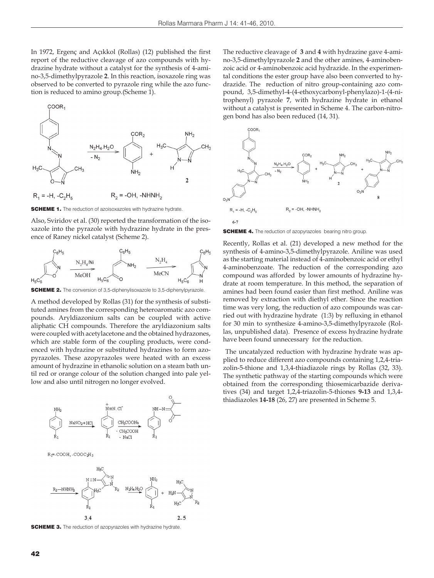In 1972, Ergenç and Açıkkol (Rollas) (12) published the first report of the reductive cleavage of azo compounds with hydrazine hydrate without a catalyst for the synthesis of 4-amino-3,5-dimethylpyrazole **2**. In this reaction, isoxazole ring was observed to be converted to pyrazole ring while the azo function is reduced to amino group.(Scheme 1).



**SCHEME 1.** The reduction of azoisoxazoles with hydrazine hydrate.

Also, Sviridov et al. (30) reported the transformation of the isoxazole into the pyrazole with hydrazine hydrate in the presence of Raney nickel catalyst (Scheme 2).



**SCHEME 2.** The conversion of 3,5-diphenylisoxazole to 3,5-diphenylpyrazole.

A method developed by Rollas (31) for the synthesis of substituted amines from the corresponding heteroaromatic azo compounds. Aryldiazonium salts can be coupled with active aliphatic CH compounds. Therefore the aryldiazonium salts were coupled with acetylacetone and the obtained hydrazones, which are stable form of the coupling products, were condenced with hydrazine or substituted hydrazines to form azopyrazoles. These azopyrazoles were heated with an excess amount of hydrazine in ethanolic solution on a steam bath until red or orange colour of the solution changed into pale yellow and also until nitrogen no longer evolved.



**SCHEME 3.** The reduction of azopyrazoles with hydrazine hydrate.

The reductive cleavage of **3** and **4** with hydrazine gave 4-amino-3,5-dimethylpyrazole **2** and the other amines, 4-aminobenzoic acid or 4-aminobenzoic acid hydrazide. In the experimental conditions the ester group have also been converted to hydrazide. The reduction of nitro group-containing azo compound, 3,5-dimethyl-4-(4-ethoxycarbonyl-phenylazo)-1-(4-nitrophenyl) pyrazole **7**, with hydrazine hydrate in ethanol without a catalyst is presented in Scheme 4. The carbon-nitrogen bond has also been reduced (14, 31).



**SCHEME 4.** The reduction of azopyrazoles bearing nitro group.

Recently, Rollas et al. (21) developed a new method for the synthesis of 4-amino-3,5-dimethylpyrazole. Aniline was used as the starting material instead of 4-aminobenzoic acid or ethyl 4-aminobenzoate. The reduction of the corresponding azo compound was afforded by lower amounts of hydrazine hydrate at room temperature. In this method, the separation of amines had been found easier than first method. Aniline was removed by extraction with diethyl ether. Since the reaction time was very long, the reduction of azo compounds was carried out with hydrazine hydrate (1:3) by refluxing in ethanol for 30 min to synthesize 4-amino-3,5-dimethylpyrazole (Rollas, unpublished data). Presence of excess hydrazine hydrate have been found unnecessary for the reduction.

 The uncatalyzed reduction with hydrazine hydrate was applied to reduce different azo compounds containing 1,2,4-triazolin-5-thione and 1,3,4-thiadiazole rings by Rollas (32, 33). The synthetic pathway of the starting compounds which were obtained from the corresponding thiosemicarbazide derivatives (34) and target 1,2,4-triazolin-5-thiones **9-13** and 1,3,4 thiadiazoles **14-18** (26, 27) are presented in Scheme 5.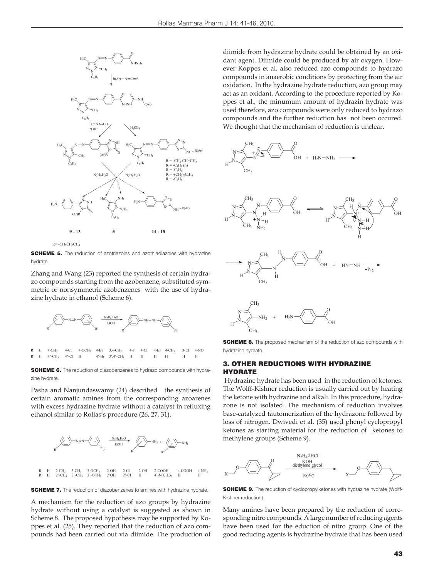

 $R = -CH_2CH_2CH_3$ 

**SCHEME 5.** The reduction of azotriazoles and azothiadiazoles with hydrazine hydrate.

Zhang and Wang (23) reported the synthesis of certain hydrazo compounds starting from the azobenzene, substituted symmetric or nonsymmetric azobenzenes with the use of hydrazine hydrate in ethanol (Scheme 6).



**SCHEME 6.** The reduction of diazobenzenes to hydrazo compounds with hydrazine hydrate.

Pasha and Nanjundaswamy (24) described the synthesis of certain aromatic amines from the corresponding azoarenes with excess hydrazine hydrate without a catalyst in refluxing ethanol similar to Rollas's procedure (26, 27, 31).



**SCHEME 7.** The reduction of diazobenzenes to amines with hydrazine hydrate.

A mechanism for the reduction of azo groups by hydrazine hydrate without using a catalyst is suggested as shown in Scheme 8. The proposed hypothesis may be supported by Koppes et al. (25). They reported that the reduction of azo compounds had been carried out via diimide. The production of

diimide from hydrazine hydrate could be obtained by an oxidant agent. Diimide could be produced by air oxygen. However Koppes et al. also reduced azo compounds to hydrazo compounds in anaerobic conditions by protecting from the air oxidation. In the hydrazine hydrate reduction, azo group may act as an oxidant. According to the procedure reported by Koppes et al., the minumum amount of hydrazin hydrate was used therefore, azo compounds were only reduced to hydrazo compounds and the further reduction has not been occured. We thought that the mechanism of reduction is unclear.







**SCHEME 8.** The proposed mechanism of the reduction of azo compounds with hydrazine hydrate.

#### 3. OTHER REDUCTIONS WITH HYDRAZINE **HYDRATE**

 Hydrazine hydrate has been used in the reduction of ketones. The Wolff-Kishner reduction is usually carried out by heating the ketone with hydrazine and alkali. In this procedure, hydrazone is not isolated. The mechanism of reduction involves base-catalyzed tautomerization of the hydrazone followed by loss of nitrogen. Dwivedi et al. (35) used phenyl cyclopropyl ketones as starting material for the reduction of ketones to methylene groups (Scheme 9).



**SCHEME 9.** The reduction of cyclopropylketones with hydrazine hydrate (Wolff-Kishner reduction)

Many amines have been prepared by the reduction of corresponding nitro compounds. A large number of reducing agents have been used for the eduction of nitro group. One of the good reducing agents is hydrazine hydrate that has been used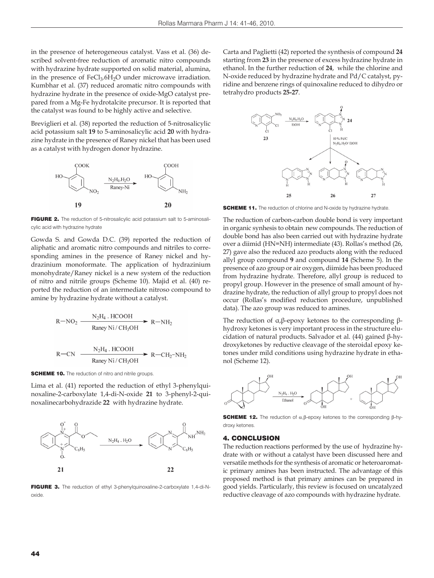in the presence of heterogeneous catalyst. Vass et al. (36) described solvent-free reduction of aromatic nitro compounds with hydrazine hydrate supported on solid material, alumina, in the presence of  $FeCl<sub>3</sub>.6H<sub>2</sub>O$  under microwave irradiation. Kumbhar et al. (37) reduced aromatic nitro compounds with hydrazine hydrate in the presence of oxide-MgO catalyst prepared from a Mg-Fe hydrotalcite precursor. It is reported that the catalyst was found to be highly active and selective.

Breviglieri et al. (38) reported the reduction of 5-nitrosalicylic acid potassium salt **19** to 5-aminosalicylic acid **20** with hydrazine hydrate in the presence of Raney nickel that has been used as a catalyst with hydrogen donor hydrazine.



FIGURE 2. The reduction of 5-nitrosalicylic acid potassium salt to 5-aminosalicylic acid with hydrazine hydrate

Gowda S. and Gowda D.C. (39) reported the reduction of aliphatic and aromatic nitro compounds and nitriles to corresponding amines in the presence of Raney nickel and hydrazinium monoformate. The application of hydrazinium monohydrate/Raney nickel is a new system of the reduction of nitro and nitrile groups (Scheme 10). Majid et al. (40) reported the reduction of an intermediate nitroso compound to amine by hydrazine hydrate without a catalyst.

$$
R-NO2 \xrightarrow{N2H4 \cdot HCOOH} R-NH2
$$
  
\n
$$
R-CN \xrightarrow{N2H4 \cdot HCOOH} R-CH2-NH2
$$
  
\n
$$
R-CH \xrightarrow{N2H4 \cdot HCOOH} R-CH2-NH2
$$

**SCHEME 10.** The reduction of nitro and nitrile groups.

Lima et al. (41) reported the reduction of ethyl 3-phenylquinoxaline-2-carboxylate 1,4-di-N-oxide **21** to 3-phenyl-2-quinoxalinecarbohydrazide **22** with hydrazine hydrate.



FIGURE 3. The reduction of ethyl 3-phenylquinoxaline-2-carboxylate 1,4-di-Noxide.

Carta and Paglietti (42) reported the synthesis of compound **24** starting from **23** in the presence of excess hydrazine hydrate in ethanol. In the further reduction of **24**, while the chlorine and N-oxide reduced by hydrazine hydrate and Pd/C catalyst, pyridine and benzene rings of quinoxaline reduced to dihydro or tetrahydro products **25-27**.



**SCHEME 11.** The reduction of chlorine and N-oxide by hydrazine hydrate.

The reduction of carbon-carbon double bond is very important in organic synhesis to obtain new compounds. The reduction of double bond has also been carried out with hydrazine hydrate over a diimid (HN=NH) intermediate (43). Rollas's method (26, 27) gave also the reduced azo products along with the reduced allyl group compound **9** and compound **14** (Scheme 5). In the presence of azo group or air oxygen, diimide has been produced from hydrazine hydrate. Therefore, allyl group is reduced to propyl group. However in the presence of small amount of hydrazine hydrate, the reduction of allyl group to propyl does not occur (Rollas's modified reduction procedure, unpublished data). The azo group was reduced to amines.

The reduction of  $\alpha$ ,β-epoxy ketones to the corresponding βhydroxy ketones is very important process in the structure elucidation of natural products. Salvador et al. (44) gained β-hydroxyketones by reductive cleavage of the steroidal epoxy ketones under mild conditions using hydrazine hydrate in ethanol (Scheme 12).



SCHEME 12. The reduction of  $\alpha$ , β-epoxy ketones to the corresponding β-hydroxy ketones.

#### 4. CONCLUSION

The reduction reactions performed by the use of hydrazine hydrate with or without a catalyst have been discussed here and versatile methods for the synthesis of aromatic or heteroaromatic primary amines has been instructed. The advantage of this proposed method is that primary amines can be prepared in good yields. Particularly, this review is focused on uncatalyzed reductive cleavage of azo compounds with hydrazine hydrate.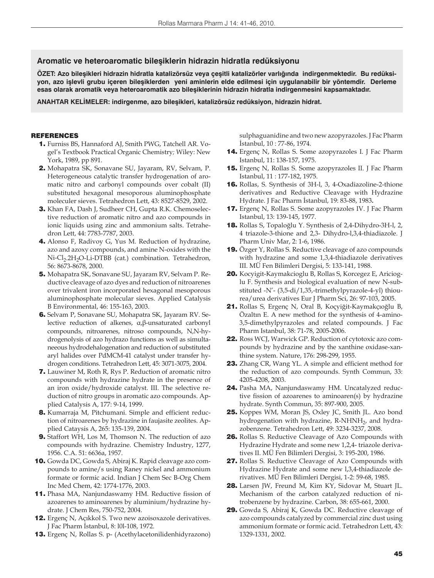# **Aromatic ve heteroaromatic bileşiklerin hidrazin hidratla redüksiyonu**

**ÖZET: Azo bileşikleri hidrazin hidratla katalizörsüz veya çeşitli katalizörler varlığında indirgenmektedir. Bu redüksiyon, azo işlevli grubu içeren bileşiklerden yeni aminlerin elde edilmesi için uygulanabilir bir yöntemdir. Derleme esas olarak aromatik veya heteroaromatik azo bileşiklerinin hidrazin hidratla indirgenmesini kapsamaktadır.**

**ANAHTAR KELİMELER: indirgenme, azo bileşikleri, katalizörsüz redüksiyon, hidrazin hidrat.**

## REFERENCES

- 1. Furniss BS, Hannaford AJ, Smith PWG, Tatchell AR. Vogel's Textbook Practical Organic Chemistry*;* Wiley: New York, 1989, pp 891.
- 2. Mohapatra SK, Sonavane SU, Jayaram, RV, Selvam, P. Heterogeneous catalytic transfer hydrogenation of aromatic nitro and carbonyl compounds over cobalt (II) substituted hexagonal mesoporous aluminophosphate moleculer sieves. Tetrahedron Lett, 43: 8527-8529, 2002.
- 3. Khan FA, Dash J, Sudheer CH, Gupta R.K. Chemoselective reduction of aromatic nitro and azo compounds in ionic liquids using zinc and ammonium salts. Tetrahedron Lett, 44: 7783-7787, 2003.
- 4. Alonso F, Radivoy G, Yus M. Reduction of hydrazine, azo and azoxy compounds, and amine N-oxides with the Ni-Cl<sub>2</sub>.2H<sub>2</sub>O-Li-DTBB (cat.) combination. Tetrahedron, 56: 8673-8678, 2000.
- 5. Mohapatra SK, Sonavane SU, Jayaram RV, Selvam P. Reductive cleavage of azo dyes and reduction of nitroarenes over trivalent iron incorporated hexagonal mesoporous aluminophosphate molecular sieves. Applied Catalysis B Environmental, 46: 155-163, 2003.
- 6. Selvam P, Sonavane SU, Mohapatra SK, Jayaram RV. Selective reduction of alkenes, α,β-unsaturated carbonyl compounds, nitroarenes, nitroso compounds, N,N-hydrogenolysis of azo hydrazo functions as well as simultaneeous hydrodehalogenation and reduction of substituted aryl halides over PdMCM-41 catalyst under transfer hydrogen conditions. Tetrahedron Lett, 45: 3071-3075, 2004.
- 7. Lauwiner M, Roth R, Rys P. Reduction of aromatic nitro compounds with hydrazine hydrate in the presence of an iron oxide/hydroxide catalyst. III. The selective reduction of nitro groups in aromatic azo compounds. Applied Catalysis A, 177: 9-14, 1999.
- 8. Kumarraja M, Pitchumani. Simple and efficient reduction of nitroarenes by hydrazine in faujasite zeolites. Applied Cataysis A, 265: 135-139, 2004.
- 9. Staffort WH, Los M, Thomson N. The reduction of azo compounds with hydrazine. Chemistry Industry, 1277, 1956. C.A. 51: 6636a, 1957.
- 10. Gowda DC, Gowda S, Abiraj K. Rapid cleavage azo compounds to amine/s using Raney nickel and ammonium formate or formic acid. Indian J Chem Sec B-Org Chem Inc Med Chem, 42: 1774-1776, 2003.
- 11. Phasa MA, Nanjundaswamy HM. Reductive fission of azoarenes to aminoarenes by aluminium/hydrazine hydrate. J Chem Res, 750-752, 2004.
- 12. Ergenç N, Açıkkol S. Two new azoisoxazole derivatives. J Fac Pharm İstanbul, 8: l0l-108, 1972.
- 13. Ergenç N, Rollas S. p- (Acethylacetonilidenhidyrazono)

sulphaguanidine and two new azopyrazoles. J Fac Pharm İstanbul, 10 : 77-86, 1974.

- 14. Ergenç N, Rollas S. Some azopyrazoles I. J Fac Pharm Istanbul, 11: 138-157, 1975.
- 15. Ergenç N, Rollas S. Some azopyrazoles II. J Fac Pharm Istanbul, 11 : 177-182, 1975.
- 16. Rollas, S. Synthesis of 3H-l, 3, 4-Oxadiazoline-2-thione derivatives and Reductive Cleavage with Hydrazine Hydrate. J Fac Pharm İstanbul, 19: 83-88, 1983**.**
- 17. Ergenç N, Rollas S. Some azopyrazoles IV. J Fac Pharm Istanbul, 13: 139-145, 1977.
- 18. Rollas S, Topaloğlu Y. Synthesis of 2,4-Dihydro-3H-l, 2, 4 triazole-3-thione and 2,3- Dihydro-l,3,4-thiadiazole. J Pharm Univ Mar, 2: 1-6, 1986.
- 19. Özger Y, Rollas S. Reductive cleavage of azo compounds with hydrazine and some 1,3,4-thiadiazole derivatives III. MÜ Fen Bilimleri Dergisi, 5: 133-141, 1988.
- 20. Kocyigit-Kaymakcioglu B, Rollas S, Korcegez E, Aricioglu F. Synthesis and biological evaluation of new N-substituted -N'- (3,5-di/1,35,-trimethylpyrazole-4-yl) thiourea/urea derivatives Eur J Pharm Sci, 26: 97-103, 2005.
- 21. Rollas S, Ergenç N, Oral B, Koçyiğit-Kaymakçıoğlu B, Özaltın E. A new method for the synthesis of 4-amino-3,5-dimethylpyrazoles and related compounds. J Fac Pharm Istanbul, 38: 71-78, 2005-2006.
- 22. Ross WCJ, Warwick GP. Reduction of cytotoxic azo compounds by hydrazine and by the xanthine oxidase-xanthine system. Nature, 176: 298-299, 1955.
- 23. Zhang CR, Wang YL. A simple and efficient method for the reduction of azo compounds. Synth Commun, 33: 4205-4208, 2003.
- 24. Pasha MA, Nanjundaswamy HM. Uncatalyzed reductive fission of azoarenes to aminoaren(s) by hydrazine hydrate. Synth Commun, 35: 897-900, 2005.
- 25. Koppes WM, Moran JS, Oxley JC, Smith JL. Azo bond hydrogenation with hydrazine, R-NHNH<sub>2</sub>, and hydrazobenzene. Tetrahedron Lett, 49: 3234-3237, 2008.
- 26. Rollas S. Reductive Cleavage of Azo Compounds with Hydrazine Hydrate and some new 1,2,4- triazole derivatives II. MÜ Fen Bilimleri Dergisi, 3: 195-200, 1986.
- 27. Rollas S. Reductive Cleavage of Azo Compounds with Hydrazine Hydrate and some new l,3,4-thiadiazole derivatives. MÜ Fen Bilimleri Dergisi, 1-2: 59-68, 1985.
- 28. Larsen JW, Freund M, Kim KY, Sidovar M, Stuart JL. Mechanism of the carbon catalyzed reduction of nitrobenzene by hydrazine. Carbon, 38: 655-661, 2000.
- 29. Gowda S, Abiraj K, Gowda DC. Reductive cleavage of azo compounds catalyzed by commercial zinc dust using ammonium formate or formic acid. Tetrahedron Lett, 43: 1329-1331, 2002.